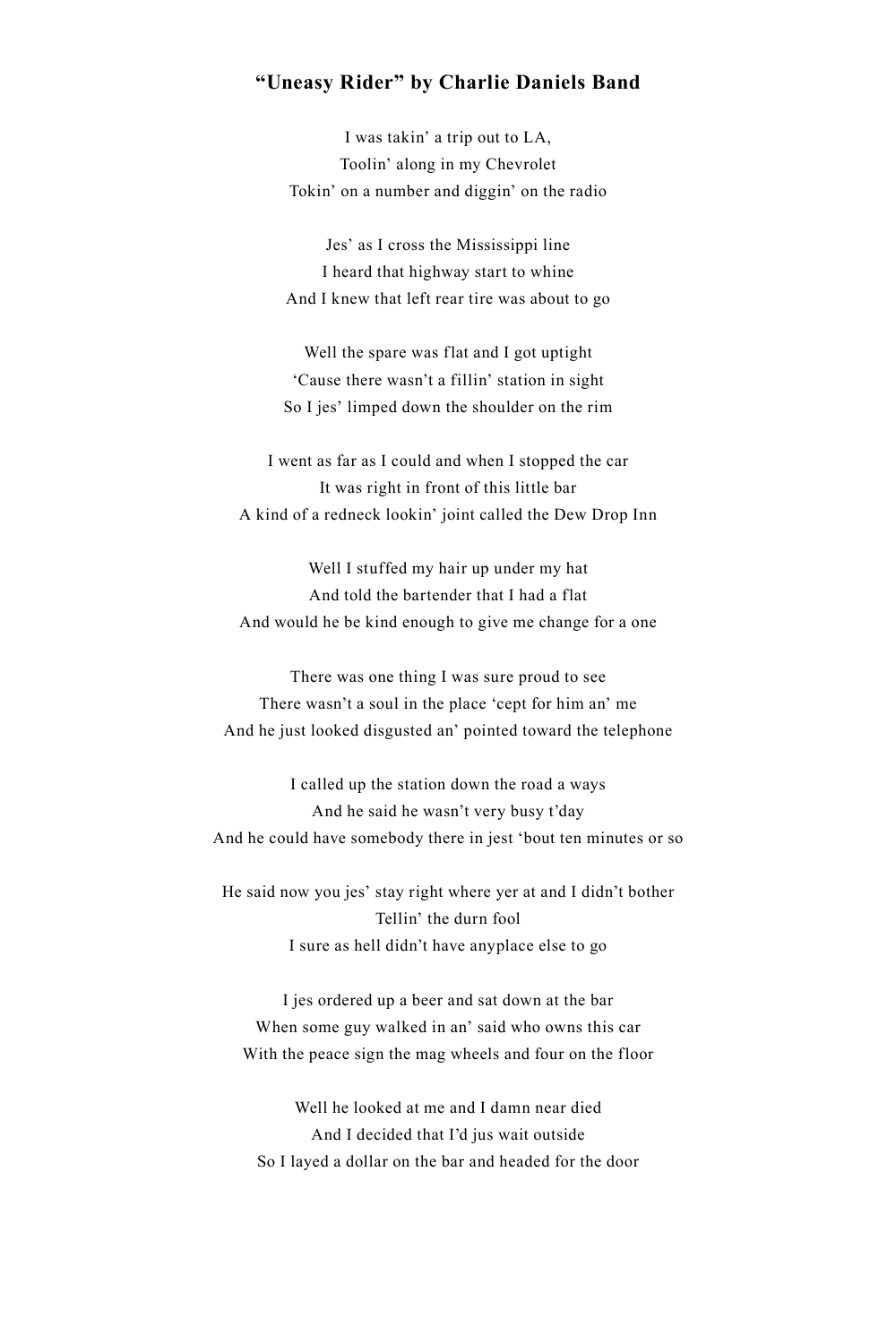## **"Uneasy Rider" by Charlie Daniels Band**

I was takin' a trip out to LA, Toolin' along in my Chevrolet Tokin' on a number and diggin' on the radio

Jes' as I cross the Mississippi line I heard that highway start to whine And I knew that left rear tire was about to go

Well the spare was flat and I got uptight 'Cause there wasn't a fillin' station in sight So I jes' limped down the shoulder on the rim

I went as far as I could and when I stopped the car It was right in front of this little bar A kind of a redneck lookin' joint called the Dew Drop Inn

Well I stuffed my hair up under my hat And told the bartender that I had a flat And would he be kind enough to give me change for a one

There was one thing I was sure proud to see There wasn't a soul in the place 'cept for him an' me And he just looked disgusted an' pointed toward the telephone

I called up the station down the road a ways And he said he wasn't very busy t'day And he could have somebody there in jest 'bout ten minutes or so

He said now you jes' stay right where yer at and I didn't bother Tellin' the durn fool I sure as hell didn't have anyplace else to go

I jes ordered up a beer and sat down at the bar When some guy walked in an' said who owns this car With the peace sign the mag wheels and four on the floor

Well he looked at me and I damn near died And I decided that I'd jus wait outside So I layed a dollar on the bar and headed for the door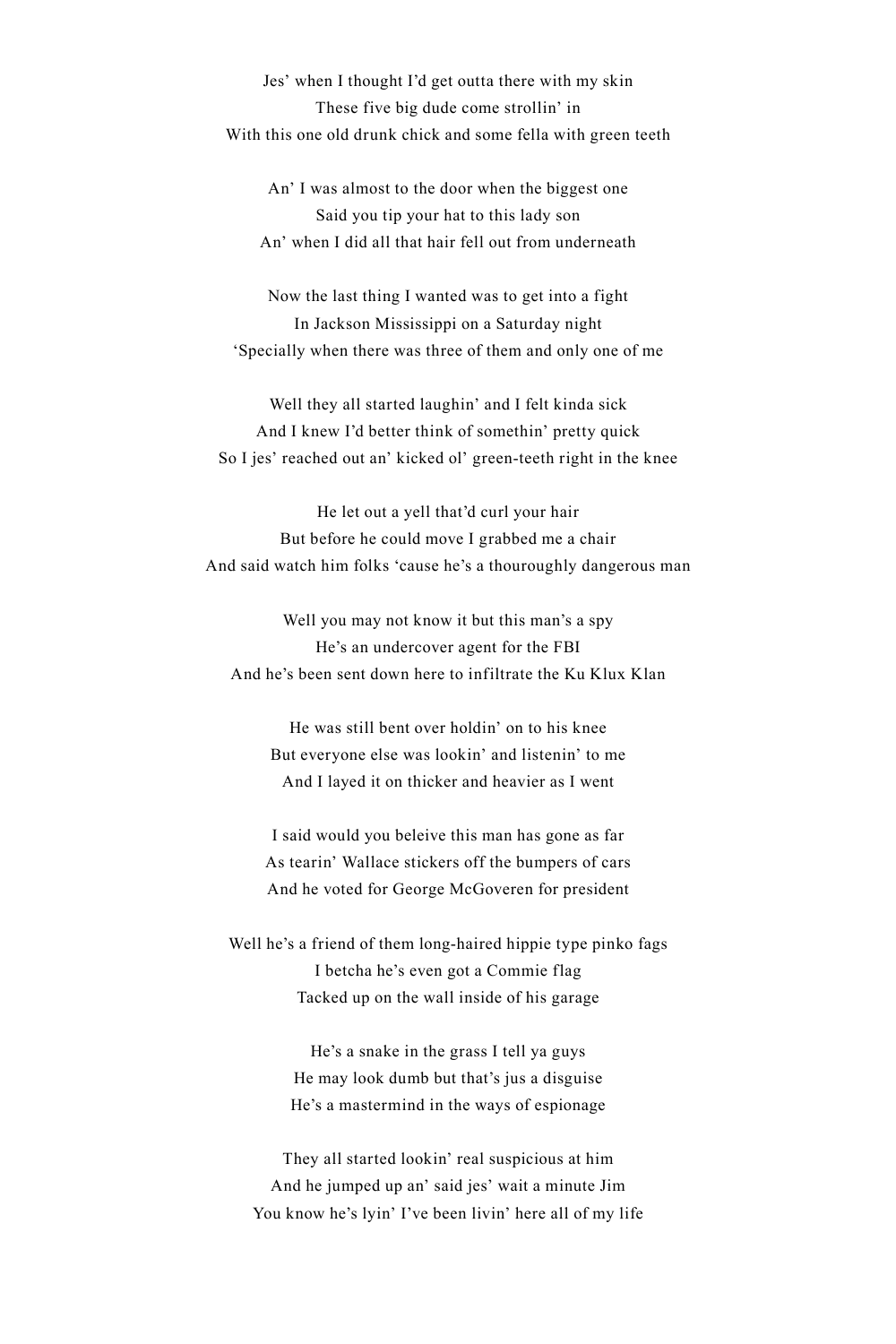Jes' when I thought I'd get outta there with my skin These five big dude come strollin' in With this one old drunk chick and some fella with green teeth

An' I was almost to the door when the biggest one Said you tip your hat to this lady son An' when I did all that hair fell out from underneath

Now the last thing I wanted was to get into a fight In Jackson Mississippi on a Saturday night 'Specially when there was three of them and only one of me

Well they all started laughin' and I felt kinda sick And I knew I'd better think of somethin' pretty quick So I jes' reached out an' kicked ol' green-teeth right in the knee

He let out a yell that'd curl your hair But before he could move I grabbed me a chair And said watch him folks 'cause he's a thouroughly dangerous man

Well you may not know it but this man's a spy He's an undercover agent for the FBI And he's been sent down here to infiltrate the Ku Klux Klan

He was still bent over holdin' on to his knee But everyone else was lookin' and listenin' to me And I layed it on thicker and heavier as I went

I said would you beleive this man has gone as far As tearin' Wallace stickers off the bumpers of cars And he voted for George McGoveren for president

Well he's a friend of them long-haired hippie type pinko fags I betcha he's even got a Commie flag Tacked up on the wall inside of his garage

> He's a snake in the grass I tell ya guys He may look dumb but that's jus a disguise He's a mastermind in the ways of espionage

They all started lookin' real suspicious at him And he jumped up an' said jes' wait a minute Jim You know he's lyin' I've been livin' here all of my life